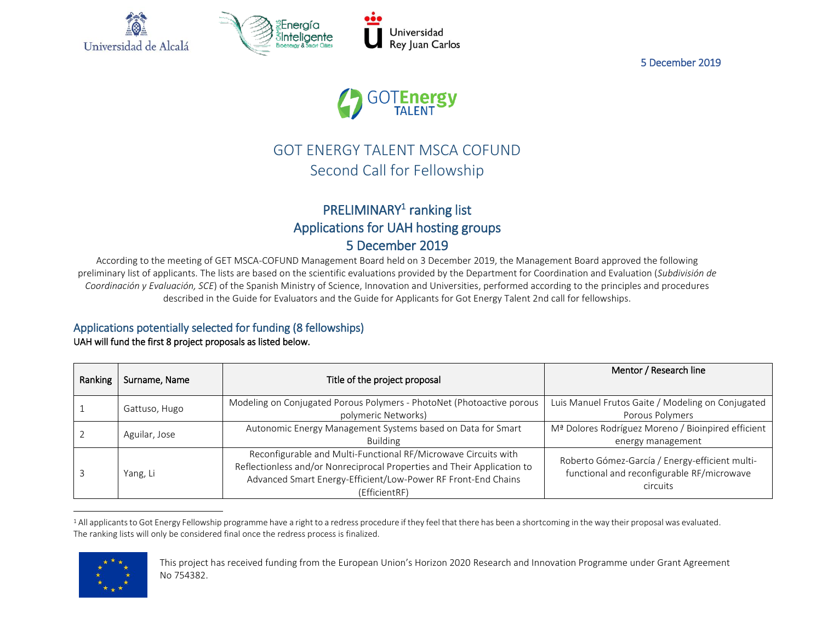

5 December 2019



# GOT ENERGY TALENT MSCA COFUND Second Call for Fellowship

## PRELIMINARY<sup>1</sup> ranking list Applications for UAH hosting groups 5 December 2019

According to the meeting of GET MSCA-COFUND Management Board held on 3 December 2019, the Management Board approved the following preliminary list of applicants. The lists are based on the scientific evaluations provided by the Department for Coordination and Evaluation (*Subdivisión de Coordinación y Evaluación, SCE*) of the Spanish Ministry of Science, Innovation and Universities, performed according to the principles and procedures described in the Guide for Evaluators and the Guide for Applicants for Got Energy Talent 2nd call for fellowships.

## Applications potentially selected for funding (8 fellowships)

#### UAH will fund the first 8 project proposals as listed below.

| Ranking | Surname, Name | Title of the project proposal                                                                                                                                                                                               | Mentor / Research line                                                                                   |
|---------|---------------|-----------------------------------------------------------------------------------------------------------------------------------------------------------------------------------------------------------------------------|----------------------------------------------------------------------------------------------------------|
|         | Gattuso, Hugo | Modeling on Conjugated Porous Polymers - PhotoNet (Photoactive porous<br>polymeric Networks)                                                                                                                                | Luis Manuel Frutos Gaite / Modeling on Conjugated<br>Porous Polymers                                     |
|         | Aguilar, Jose | Autonomic Energy Management Systems based on Data for Smart<br><b>Building</b>                                                                                                                                              | Mª Dolores Rodríguez Moreno / Bioinpired efficient<br>energy management                                  |
|         | Yang, Li      | Reconfigurable and Multi-Functional RF/Microwave Circuits with<br>Reflectionless and/or Nonreciprocal Properties and Their Application to<br>Advanced Smart Energy-Efficient/Low-Power RF Front-End Chains<br>(EfficientRF) | Roberto Gómez-García / Energy-efficient multi-<br>functional and reconfigurable RF/microwave<br>circuits |

<sup>&</sup>lt;sup>1</sup> All applicants to Got Energy Fellowship programme have a right to a redress procedure if they feel that there has been a shortcoming in the way their proposal was evaluated. The ranking lists will only be considered final once the redress process is finalized.



 $\overline{a}$ 

This project has received funding from the European Union's Horizon 2020 Research and Innovation Programme under Grant Agreement No 754382.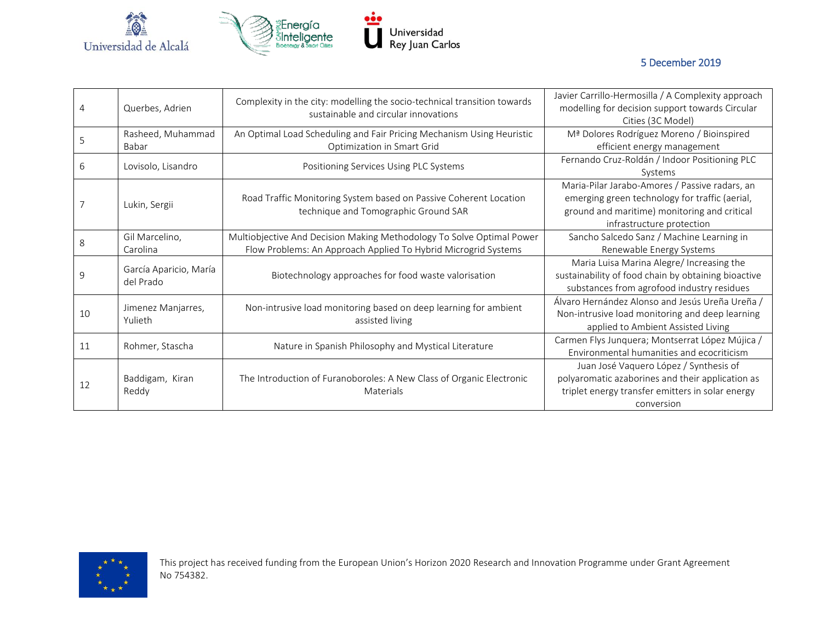

# Universidad<br>Rey Juan Carlos

5 December 2019

| 4  | Querbes, Adrien                     | Complexity in the city: modelling the socio-technical transition towards<br>sustainable and circular innovations                        | Javier Carrillo-Hermosilla / A Complexity approach<br>modelling for decision support towards Circular<br>Cities (3C Model)                                                    |
|----|-------------------------------------|-----------------------------------------------------------------------------------------------------------------------------------------|-------------------------------------------------------------------------------------------------------------------------------------------------------------------------------|
| 5  | Rasheed, Muhammad<br>Babar          | An Optimal Load Scheduling and Fair Pricing Mechanism Using Heuristic<br>Optimization in Smart Grid                                     | Mª Dolores Rodríguez Moreno / Bioinspired<br>efficient energy management                                                                                                      |
| 6  | Lovisolo, Lisandro                  | Positioning Services Using PLC Systems                                                                                                  | Fernando Cruz-Roldán / Indoor Positioning PLC<br>Systems                                                                                                                      |
|    | Lukin, Sergii                       | Road Traffic Monitoring System based on Passive Coherent Location<br>technique and Tomographic Ground SAR                               | Maria-Pilar Jarabo-Amores / Passive radars, an<br>emerging green technology for traffic (aerial,<br>ground and maritime) monitoring and critical<br>infrastructure protection |
| 8  | Gil Marcelino,<br>Carolina          | Multiobjective And Decision Making Methodology To Solve Optimal Power<br>Flow Problems: An Approach Applied To Hybrid Microgrid Systems | Sancho Salcedo Sanz / Machine Learning in<br>Renewable Energy Systems                                                                                                         |
| 9  | García Aparicio, María<br>del Prado | Biotechnology approaches for food waste valorisation                                                                                    | Maria Luisa Marina Alegre/ Increasing the<br>sustainability of food chain by obtaining bioactive<br>substances from agrofood industry residues                                |
| 10 | Jimenez Manjarres,<br>Yulieth       | Non-intrusive load monitoring based on deep learning for ambient<br>assisted living                                                     | Álvaro Hernández Alonso and Jesús Ureña Ureña /<br>Non-intrusive load monitoring and deep learning<br>applied to Ambient Assisted Living                                      |
| 11 | Rohmer, Stascha                     | Nature in Spanish Philosophy and Mystical Literature                                                                                    | Carmen Flys Junquera; Montserrat López Mújica /<br>Environmental humanities and ecocriticism                                                                                  |
| 12 | Baddigam, Kiran<br>Reddy            | The Introduction of Furanoboroles: A New Class of Organic Electronic<br>Materials                                                       | Juan José Vaquero López / Synthesis of<br>polyaromatic azaborines and their application as<br>triplet energy transfer emitters in solar energy<br>conversion                  |